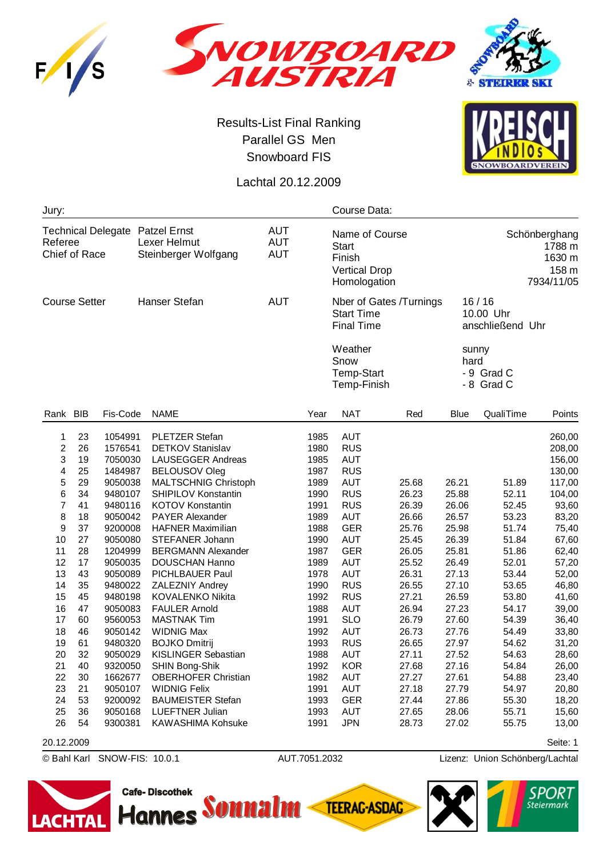





## Results-List Final Ranking Parallel GS Men Snowboard FIS

**SNOWBOARDVEREIN** 

Lachtal 20.12.2009

| <b>AUT</b><br>Name of Course<br>Schönberghang<br><b>AUT</b><br>Lexer Helmut<br>1788 m<br><b>Start</b><br><b>AUT</b><br>Steinberger Wolfgang<br>1630 m<br>Finish<br>158 m<br><b>Vertical Drop</b><br>7934/11/05<br>Homologation<br><b>AUT</b><br>Hanser Stefan<br>16/16<br>Nber of Gates /Turnings<br><b>Start Time</b><br>10.00 Uhr<br><b>Final Time</b><br>anschließend Uhr<br>Weather<br>sunny<br>Snow<br>hard<br><b>Temp-Start</b><br>- 9 Grad C<br>- 8 Grad C<br>Temp-Finish<br>Rank BIB<br>Fis-Code<br><b>NAT</b><br>QualiTime<br><b>NAME</b><br>Year<br>Red<br><b>Blue</b><br>Points<br><b>AUT</b><br>23<br>1054991<br>PLETZER Stefan<br>1985<br>260,00<br>1<br><b>RUS</b><br>$\overline{c}$<br>26<br>1980<br>1576541<br><b>DETKOV Stanislav</b><br>208,00<br>3<br><b>AUT</b><br>19<br>7050030<br><b>LAUSEGGER Andreas</b><br>1985<br>156,00<br>25<br>1987<br><b>RUS</b><br>4<br>1484987<br><b>BELOUSOV Oleg</b><br>130,00<br>5<br>29<br><b>AUT</b><br>26.21<br>9050038<br>MALTSCHNIG Christoph<br>1989<br>25.68<br>51.89<br>117,00<br>34<br><b>RUS</b><br>6<br>SHIPILOV Konstantin<br>1990<br>26.23<br>25.88<br>52.11<br>9480107<br>104,00<br>7<br>41<br>9480116<br>KOTOV Konstantin<br>1991<br><b>RUS</b><br>26.39<br>26.06<br>52.45<br>93,60<br>8<br>18<br>9050042<br><b>PAYER Alexander</b><br>1989<br><b>AUT</b><br>26.66<br>26.57<br>53.23<br>83,20<br>9<br>37<br><b>GER</b><br><b>HAFNER Maximilian</b><br>25.98<br>51.74<br>9200008<br>1988<br>25.76<br>75,40<br>10<br>27<br>9050080<br>1990<br><b>AUT</b><br>25.45<br>26.39<br>51.84<br>67,60<br><b>STEFANER Johann</b><br>11<br>28<br>1204999<br><b>GER</b><br>26.05<br>25.81<br>51.86<br>62,40<br><b>BERGMANN Alexander</b><br>1987<br>12<br>17<br><b>AUT</b><br>9050035<br><b>DOUSCHAN Hanno</b><br>1989<br>25.52<br>26.49<br>52.01<br>57,20<br>43<br>13<br>1978<br><b>AUT</b><br>26.31<br>27.13<br>53.44<br>9050089<br>PICHLBAUER Paul<br>52,00<br>35<br><b>RUS</b><br>14<br>27.10<br>53.65<br>9480022<br>ZALEZNIY Andrey<br>1990<br>26.55<br>46,80<br>15<br>45<br>KOVALENKO Nikita<br>1992<br><b>RUS</b><br>27.21<br>26.59<br>53.80<br>9480198<br>41,60<br>47<br>16<br><b>FAULER Arnold</b><br>1988<br><b>AUT</b><br>27.23<br>54.17<br>9050083<br>26.94<br>39,00<br>60<br><b>SLO</b><br>27.60<br>17<br>9560053<br><b>MASTNAK Tim</b><br>1991<br>26.79<br>54.39<br>36,40<br>18<br>46<br><b>WIDNIG Max</b><br><b>AUT</b><br>27.76<br>9050142<br>1992<br>26.73<br>54.49<br>33,80<br><b>RUS</b><br>19<br>27.97<br>61<br>9480320<br><b>BOJKO Dmitrij</b><br>1993<br>26.65<br>54.62<br>31,20<br>20<br>32<br>1988<br><b>AUT</b><br>9050029<br><b>KISLINGER Sebastian</b><br>27.11<br>27.52<br>54.63<br>28,60<br>21<br>40<br>9320050<br>SHIN Bong-Shik<br>1992<br><b>KOR</b><br>27.68<br>27.16<br>54.84<br>26,00<br>22<br>30<br>1662677<br><b>OBERHOFER Christian</b><br>1982<br>AUT<br>27.27<br>27.61<br>54.88<br>23,40<br>23<br>21<br>1991<br>AUT<br>27.79<br>54.97<br>9050107<br><b>WIDNIG Felix</b><br>27.18<br>20,80<br>24<br>53<br><b>BAUMEISTER Stefan</b><br>1993<br>55.30<br>9200092<br><b>GER</b><br>27.44<br>27.86<br>18,20<br>25<br><b>AUT</b><br>36<br>9050168<br><b>LUEFTNER Julian</b><br>1993<br>27.65<br>28.06<br>55.71<br>15,60<br>26<br>KAWASHIMA Kohsuke<br>1991<br><b>JPN</b><br>27.02<br>54<br>9300381<br>28.73<br>55.75<br>13,00<br>Seite: 1<br>20.12.2009 | Jury:                                                       |  |  |  |  | Course Data: |  |  |  |  |  |
|-----------------------------------------------------------------------------------------------------------------------------------------------------------------------------------------------------------------------------------------------------------------------------------------------------------------------------------------------------------------------------------------------------------------------------------------------------------------------------------------------------------------------------------------------------------------------------------------------------------------------------------------------------------------------------------------------------------------------------------------------------------------------------------------------------------------------------------------------------------------------------------------------------------------------------------------------------------------------------------------------------------------------------------------------------------------------------------------------------------------------------------------------------------------------------------------------------------------------------------------------------------------------------------------------------------------------------------------------------------------------------------------------------------------------------------------------------------------------------------------------------------------------------------------------------------------------------------------------------------------------------------------------------------------------------------------------------------------------------------------------------------------------------------------------------------------------------------------------------------------------------------------------------------------------------------------------------------------------------------------------------------------------------------------------------------------------------------------------------------------------------------------------------------------------------------------------------------------------------------------------------------------------------------------------------------------------------------------------------------------------------------------------------------------------------------------------------------------------------------------------------------------------------------------------------------------------------------------------------------------------------------------------------------------------------------------------------------------------------------------------------------------------------------------------------------------------------------------------------------------------------------------------------------------------------------------------------------------------------------------------------------------------------------------------------------------------------------------------------------------------------------------------------------------------------------------------------------------------------------------------------------------------------------------------------------------------------------------------|-------------------------------------------------------------|--|--|--|--|--------------|--|--|--|--|--|
|                                                                                                                                                                                                                                                                                                                                                                                                                                                                                                                                                                                                                                                                                                                                                                                                                                                                                                                                                                                                                                                                                                                                                                                                                                                                                                                                                                                                                                                                                                                                                                                                                                                                                                                                                                                                                                                                                                                                                                                                                                                                                                                                                                                                                                                                                                                                                                                                                                                                                                                                                                                                                                                                                                                                                                                                                                                                                                                                                                                                                                                                                                                                                                                                                                                                                                                                               | Technical Delegate Patzel Ernst<br>Referee<br>Chief of Race |  |  |  |  |              |  |  |  |  |  |
|                                                                                                                                                                                                                                                                                                                                                                                                                                                                                                                                                                                                                                                                                                                                                                                                                                                                                                                                                                                                                                                                                                                                                                                                                                                                                                                                                                                                                                                                                                                                                                                                                                                                                                                                                                                                                                                                                                                                                                                                                                                                                                                                                                                                                                                                                                                                                                                                                                                                                                                                                                                                                                                                                                                                                                                                                                                                                                                                                                                                                                                                                                                                                                                                                                                                                                                                               | <b>Course Setter</b>                                        |  |  |  |  |              |  |  |  |  |  |
|                                                                                                                                                                                                                                                                                                                                                                                                                                                                                                                                                                                                                                                                                                                                                                                                                                                                                                                                                                                                                                                                                                                                                                                                                                                                                                                                                                                                                                                                                                                                                                                                                                                                                                                                                                                                                                                                                                                                                                                                                                                                                                                                                                                                                                                                                                                                                                                                                                                                                                                                                                                                                                                                                                                                                                                                                                                                                                                                                                                                                                                                                                                                                                                                                                                                                                                                               |                                                             |  |  |  |  |              |  |  |  |  |  |
|                                                                                                                                                                                                                                                                                                                                                                                                                                                                                                                                                                                                                                                                                                                                                                                                                                                                                                                                                                                                                                                                                                                                                                                                                                                                                                                                                                                                                                                                                                                                                                                                                                                                                                                                                                                                                                                                                                                                                                                                                                                                                                                                                                                                                                                                                                                                                                                                                                                                                                                                                                                                                                                                                                                                                                                                                                                                                                                                                                                                                                                                                                                                                                                                                                                                                                                                               |                                                             |  |  |  |  |              |  |  |  |  |  |
|                                                                                                                                                                                                                                                                                                                                                                                                                                                                                                                                                                                                                                                                                                                                                                                                                                                                                                                                                                                                                                                                                                                                                                                                                                                                                                                                                                                                                                                                                                                                                                                                                                                                                                                                                                                                                                                                                                                                                                                                                                                                                                                                                                                                                                                                                                                                                                                                                                                                                                                                                                                                                                                                                                                                                                                                                                                                                                                                                                                                                                                                                                                                                                                                                                                                                                                                               |                                                             |  |  |  |  |              |  |  |  |  |  |
|                                                                                                                                                                                                                                                                                                                                                                                                                                                                                                                                                                                                                                                                                                                                                                                                                                                                                                                                                                                                                                                                                                                                                                                                                                                                                                                                                                                                                                                                                                                                                                                                                                                                                                                                                                                                                                                                                                                                                                                                                                                                                                                                                                                                                                                                                                                                                                                                                                                                                                                                                                                                                                                                                                                                                                                                                                                                                                                                                                                                                                                                                                                                                                                                                                                                                                                                               |                                                             |  |  |  |  |              |  |  |  |  |  |

© Bahl Karl SNOW-FIS: 10.0.1 AUT.7051.2032 Lizenz: Union Schönberg/Lachtal







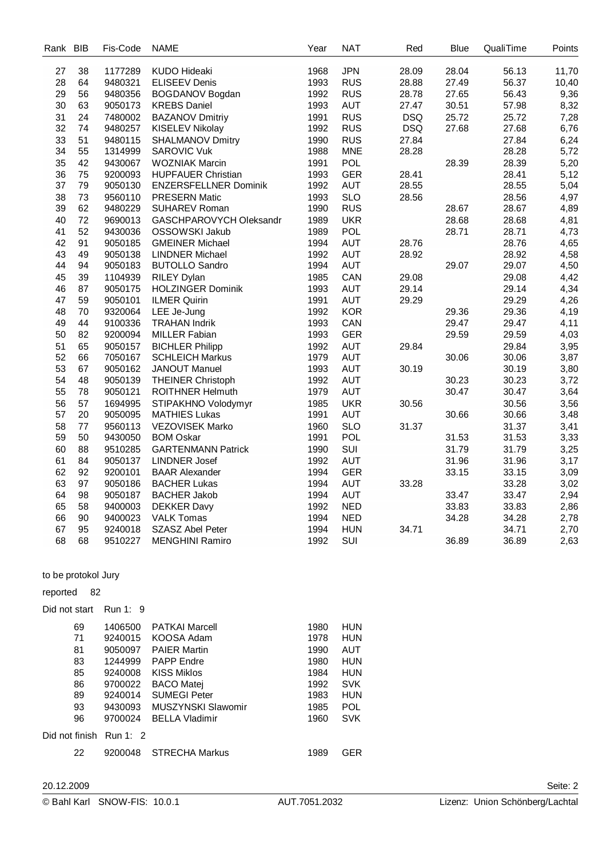| Rank | <b>BIB</b> | Fis-Code | <b>NAME</b>                  | Year | <b>NAT</b> | Red        | Blue  | QualiTime | Points |
|------|------------|----------|------------------------------|------|------------|------------|-------|-----------|--------|
| 27   | 38         | 1177289  | <b>KUDO Hideaki</b>          | 1968 | <b>JPN</b> | 28.09      | 28.04 | 56.13     | 11,70  |
| 28   | 64         | 9480321  | <b>ELISEEV Denis</b>         | 1993 | <b>RUS</b> | 28.88      | 27.49 | 56.37     | 10,40  |
| 29   | 56         | 9480356  | <b>BOGDANOV Bogdan</b>       | 1992 | <b>RUS</b> | 28.78      | 27.65 | 56.43     | 9,36   |
| 30   | 63         | 9050173  | <b>KREBS Daniel</b>          | 1993 | <b>AUT</b> | 27.47      | 30.51 | 57.98     | 8,32   |
| 31   | 24         | 7480002  | <b>BAZANOV Dmitriy</b>       | 1991 | <b>RUS</b> | <b>DSQ</b> | 25.72 | 25.72     | 7,28   |
| 32   | 74         | 9480257  | KISELEV Nikolay              | 1992 | <b>RUS</b> | <b>DSQ</b> | 27.68 | 27.68     | 6,76   |
| 33   | 51         | 9480115  | <b>SHALMANOV Dmitry</b>      | 1990 | <b>RUS</b> | 27.84      |       | 27.84     | 6,24   |
| 34   | 55         | 1314999  | <b>SAROVIC Vuk</b>           | 1988 | <b>MNE</b> | 28.28      |       | 28.28     | 5,72   |
| 35   | 42         | 9430067  | <b>WOZNIAK Marcin</b>        | 1991 | <b>POL</b> |            | 28.39 | 28.39     | 5,20   |
| 36   | 75         | 9200093  | <b>HUPFAUER Christian</b>    | 1993 | <b>GER</b> | 28.41      |       | 28.41     | 5,12   |
| 37   | 79         | 9050130  | <b>ENZERSFELLNER Dominik</b> | 1992 | <b>AUT</b> | 28.55      |       | 28.55     | 5,04   |
| 38   | 73         | 9560110  | <b>PRESERN Matic</b>         | 1993 | <b>SLO</b> | 28.56      |       | 28.56     | 4,97   |
| 39   | 62         | 9480229  | <b>SUHAREV Roman</b>         | 1990 | <b>RUS</b> |            | 28.67 | 28.67     | 4,89   |
| 40   | 72         | 9690013  | GASCHPAROVYCH Oleksandr      | 1989 | <b>UKR</b> |            | 28.68 | 28.68     | 4,81   |
| 41   | 52         | 9430036  | OSSOWSKI Jakub               | 1989 | <b>POL</b> |            | 28.71 | 28.71     | 4,73   |
| 42   | 91         | 9050185  | <b>GMEINER Michael</b>       | 1994 | <b>AUT</b> | 28.76      |       | 28.76     | 4,65   |
| 43   | 49         | 9050138  | <b>LINDNER Michael</b>       | 1992 | <b>AUT</b> | 28.92      |       | 28.92     | 4,58   |
| 44   | 94         | 9050183  | <b>BUTOLLO Sandro</b>        | 1994 | <b>AUT</b> |            | 29.07 | 29.07     | 4,50   |
| 45   | 39         | 1104939  | <b>RILEY Dylan</b>           | 1985 | CAN        | 29.08      |       | 29.08     | 4,42   |
| 46   | 87         | 9050175  | <b>HOLZINGER Dominik</b>     | 1993 | <b>AUT</b> | 29.14      |       | 29.14     | 4,34   |
| 47   | 59         | 9050101  | <b>ILMER Quirin</b>          | 1991 | <b>AUT</b> | 29.29      |       | 29.29     | 4,26   |
| 48   | 70         | 9320064  | LEE Je-Jung                  | 1992 | <b>KOR</b> |            | 29.36 | 29.36     | 4,19   |
| 49   | 44         | 9100336  | <b>TRAHAN Indrik</b>         | 1993 | CAN        |            | 29.47 | 29.47     | 4,11   |
| 50   | 82         | 9200094  | <b>MILLER Fabian</b>         | 1993 | <b>GER</b> |            | 29.59 | 29.59     | 4,03   |
| 51   | 65         | 9050157  | <b>BICHLER Philipp</b>       | 1992 | <b>AUT</b> | 29.84      |       | 29.84     | 3,95   |
| 52   | 66         | 7050167  | <b>SCHLEICH Markus</b>       | 1979 | <b>AUT</b> |            | 30.06 | 30.06     | 3,87   |
| 53   | 67         | 9050162  | <b>JANOUT Manuel</b>         | 1993 | <b>AUT</b> | 30.19      |       | 30.19     | 3,80   |
| 54   | 48         | 9050139  | <b>THEINER Christoph</b>     | 1992 | <b>AUT</b> |            | 30.23 | 30.23     | 3,72   |
| 55   | 78         | 9050121  | <b>ROITHNER Helmuth</b>      | 1979 | <b>AUT</b> |            | 30.47 | 30.47     | 3,64   |
| 56   | 57         | 1694995  | STIPAKHNO Volodymyr          | 1985 | <b>UKR</b> | 30.56      |       | 30.56     | 3,56   |
| 57   | 20         | 9050095  | <b>MATHIES Lukas</b>         | 1991 | <b>AUT</b> |            | 30.66 | 30.66     | 3,48   |
| 58   | 77         | 9560113  | <b>VEZOVISEK Marko</b>       | 1960 | <b>SLO</b> | 31.37      |       | 31.37     | 3,41   |
| 59   | 50         | 9430050  | <b>BOM Oskar</b>             | 1991 | POL        |            | 31.53 | 31.53     | 3,33   |
| 60   | 88         | 9510285  | <b>GARTENMANN Patrick</b>    | 1990 | SUI        |            | 31.79 | 31.79     | 3,25   |
| 61   | 84         | 9050137  | <b>LINDNER Josef</b>         | 1992 | <b>AUT</b> |            | 31.96 | 31.96     | 3,17   |
| 62   | 92         | 9200101  | <b>BAAR Alexander</b>        | 1994 | <b>GER</b> |            | 33.15 | 33.15     | 3,09   |
| 63   | 97         | 9050186  | <b>BACHER Lukas</b>          | 1994 | <b>AUT</b> | 33.28      |       | 33.28     | 3,02   |
| 64   | 98         | 9050187  | <b>BACHER Jakob</b>          | 1994 | <b>AUT</b> |            | 33.47 | 33.47     | 2,94   |
| 65   | 58         | 9400003  | <b>DEKKER Davy</b>           | 1992 | <b>NED</b> |            | 33.83 | 33.83     | 2,86   |
| 66   | 90         | 9400023  | <b>VALK Tomas</b>            | 1994 | <b>NED</b> |            | 34.28 | 34.28     | 2,78   |
| 67   | 95         | 9240018  | SZASZ Abel Peter             | 1994 | <b>HUN</b> | 34.71      |       | 34.71     | 2,70   |
| 68   | 68         | 9510227  | <b>MENGHINI Ramiro</b>       | 1992 | SUI        |            | 36.89 | 36.89     | 2,63   |
|      |            |          |                              |      |            |            |       |           |        |

to be protokol Jury

## reported 82

Did not start Run 1: 9

| 69             | 1406500  | <b>PATKAI Marcell</b>     | 1980 | HUN        |
|----------------|----------|---------------------------|------|------------|
| 71             | 9240015  | KOOSA Adam                | 1978 | <b>HUN</b> |
| 81             | 9050097  | <b>PAIER Martin</b>       | 1990 | AUT        |
| 83             | 1244999  | <b>PAPP Endre</b>         | 1980 | <b>HUN</b> |
| 85             | 9240008  | <b>KISS Miklos</b>        | 1984 | <b>HUN</b> |
| 86             | 9700022  | <b>BACO Matej</b>         | 1992 | <b>SVK</b> |
| 89             | 9240014  | <b>SUMEGI Peter</b>       | 1983 | <b>HUN</b> |
| 93             | 9430093  | <b>MUSZYNSKI Slawomir</b> | 1985 | <b>POL</b> |
| 96             | 9700024  | <b>BELLA Vladimir</b>     | 1960 | <b>SVK</b> |
| Did not finish | Run 1: 2 |                           |      |            |
| 22             | 9200048  | <b>STRECHA Markus</b>     | 1989 | GER        |